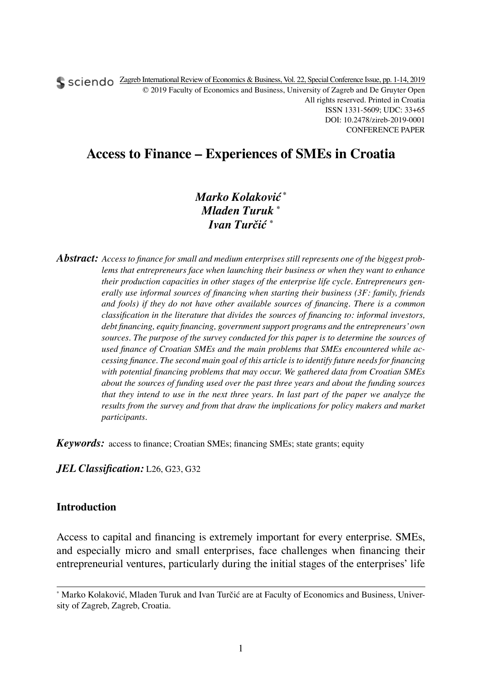Sciendo Zagreb International Review of Economics & Business, Vol. 22, Special Conference Issue, pp. 1-14, 2019 © 2019 Faculty of Economics and Business, University of Zagreb and De Gruyter Open All rights reserved. Printed in Croatia ISSN 1331-5609; UDC: 33+65 DOI: 10.2478/zireb-2019-0001 CONFERENCE PAPER

# **Access to Finance – Experiences of SMEs in Croatia**

*Marko Kolaković \* Mladen Turuk \* Ivan Turčić \**

*Abstract: Access to finance for small and medium enterprises still represents one of the biggest problems that entrepreneurs face when launching their business or when they want to enhance their production capacities in other stages of the enterprise life cycle. Entrepreneurs generally use informal sources of financing when starting their business (3F: family, friends and fools) if they do not have other available sources of financing. There is a common classification in the literature that divides the sources of financing to: informal investors, debt financing, equity financing, government support programs and the entrepreneurs' own*  sources. The purpose of the survey conducted for this paper is to determine the sources of *used finance of Croatian SMEs and the main problems that SMEs encountered while accessing finance. The second main goal of this article is to identify future needs for financing with potential financing problems that may occur. We gathered data from Croatian SMEs about the sources of funding used over the past three years and about the funding sources that they intend to use in the next three years. In last part of the paper we analyze the results from the survey and from that draw the implications for policy makers and market participants.*

*Keywords:* access to finance; Croatian SMEs; financing SMEs; state grants; equity

*JEL Classification:* L26, G23, G32

### **Introduction**

Access to capital and financing is extremely important for every enterprise. SMEs, and especially micro and small enterprises, face challenges when financing their entrepreneurial ventures, particularly during the initial stages of the enterprises' life

<sup>\*</sup> Marko Kolaković, Mladen Turuk and Ivan Turčić are at Faculty of Economics and Business, University of Zagreb, Zagreb, Croatia.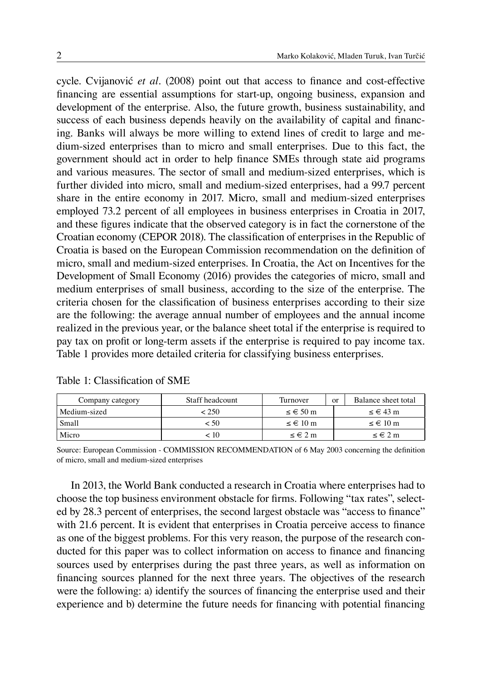cycle. Cvijanović *et al.* (2008) point out that access to finance and cost-effective financing are essential assumptions for start-up, ongoing business, expansion and development of the enterprise. Also, the future growth, business sustainability, and success of each business depends heavily on the availability of capital and financing. Banks will always be more willing to extend lines of credit to large and medium-sized enterprises than to micro and small enterprises. Due to this fact, the government should act in order to help finance SMEs through state aid programs and various measures. The sector of small and medium-sized enterprises, which is further divided into micro, small and medium-sized enterprises, had a 99.7 percent share in the entire economy in 2017. Micro, small and medium-sized enterprises employed 73.2 percent of all employees in business enterprises in Croatia in 2017, and these figures indicate that the observed category is in fact the cornerstone of the Croatian economy (CEPOR 2018). The classification of enterprises in the Republic of Croatia is based on the European Commission recommendation on the definition of micro, small and medium-sized enterprises. In Croatia, the Act on Incentives for the Development of Small Economy (2016) provides the categories of micro, small and medium enterprises of small business, according to the size of the enterprise. The criteria chosen for the classification of business enterprises according to their size are the following: the average annual number of employees and the annual income realized in the previous year, or the balance sheet total if the enterprise is required to pay tax on profit or long-term assets if the enterprise is required to pay income tax. Table 1 provides more detailed criteria for classifying business enterprises.

| Company category | Staff headcount | Turnover             | $\alpha$ | Balance sheet total     |
|------------------|-----------------|----------------------|----------|-------------------------|
| Medium-sized     | < 250           | $\leq \epsilon$ 50 m |          | $\leq \in 43$ m         |
| Small            | ~< 50           | $\leq \epsilon$ 10 m |          | $\leq \in 10 \text{ m}$ |
| Micro            | $< 10^{-1}$     | $\leq \epsilon$ 2 m  |          | $\leq \epsilon 2$ m     |

|  |  |  |  | Table 1: Classification of SME |  |  |  |  |  |
|--|--|--|--|--------------------------------|--|--|--|--|--|
|--|--|--|--|--------------------------------|--|--|--|--|--|

Source: European Commission - COMMISSION RECOMMENDATION of 6 May 2003 concerning the definition of micro, small and medium-sized enterprises

In 2013, the World Bank conducted a research in Croatia where enterprises had to choose the top business environment obstacle for firms. Following "tax rates", selected by 28.3 percent of enterprises, the second largest obstacle was "access to finance" with 21.6 percent. It is evident that enterprises in Croatia perceive access to finance as one of the biggest problems. For this very reason, the purpose of the research conducted for this paper was to collect information on access to finance and financing sources used by enterprises during the past three years, as well as information on financing sources planned for the next three years. The objectives of the research were the following: a) identify the sources of financing the enterprise used and their experience and b) determine the future needs for financing with potential financing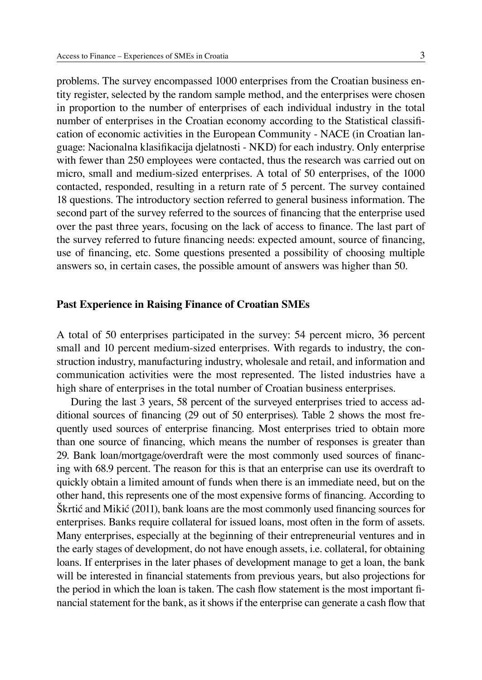problems. The survey encompassed 1000 enterprises from the Croatian business entity register, selected by the random sample method, and the enterprises were chosen in proportion to the number of enterprises of each individual industry in the total number of enterprises in the Croatian economy according to the Statistical classification of economic activities in the European Community - NACE (in Croatian language: Nacionalna klasifikacija djelatnosti - NKD) for each industry. Only enterprise with fewer than 250 employees were contacted, thus the research was carried out on micro, small and medium-sized enterprises. A total of 50 enterprises, of the 1000 contacted, responded, resulting in a return rate of 5 percent. The survey contained 18 questions. The introductory section referred to general business information. The second part of the survey referred to the sources of financing that the enterprise used over the past three years, focusing on the lack of access to finance. The last part of the survey referred to future financing needs: expected amount, source of financing, use of financing, etc. Some questions presented a possibility of choosing multiple answers so, in certain cases, the possible amount of answers was higher than 50.

#### **Past Experience in Raising Finance of Croatian SMEs**

A total of 50 enterprises participated in the survey: 54 percent micro, 36 percent small and 10 percent medium-sized enterprises. With regards to industry, the construction industry, manufacturing industry, wholesale and retail, and information and communication activities were the most represented. The listed industries have a high share of enterprises in the total number of Croatian business enterprises.

During the last 3 years, 58 percent of the surveyed enterprises tried to access additional sources of financing (29 out of 50 enterprises). Table 2 shows the most frequently used sources of enterprise financing. Most enterprises tried to obtain more than one source of financing, which means the number of responses is greater than 29. Bank loan/mortgage/overdraft were the most commonly used sources of financing with 68.9 percent. The reason for this is that an enterprise can use its overdraft to quickly obtain a limited amount of funds when there is an immediate need, but on the other hand, this represents one of the most expensive forms of financing. According to Škrtić and Mikić (2011), bank loans are the most commonly used financing sources for enterprises. Banks require collateral for issued loans, most often in the form of assets. Many enterprises, especially at the beginning of their entrepreneurial ventures and in the early stages of development, do not have enough assets, i.e. collateral, for obtaining loans. If enterprises in the later phases of development manage to get a loan, the bank will be interested in financial statements from previous years, but also projections for the period in which the loan is taken. The cash flow statement is the most important financial statement for the bank, as it shows if the enterprise can generate a cash flow that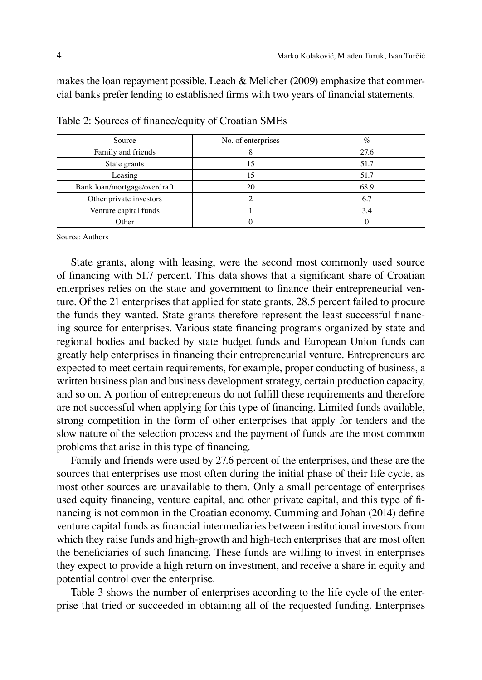makes the loan repayment possible. Leach & Melicher (2009) emphasize that commercial banks prefer lending to established firms with two years of financial statements.

| Source                       | No. of enterprises | $\%$ |
|------------------------------|--------------------|------|
| Family and friends           |                    | 27.6 |
| State grants                 |                    | 51.7 |
| Leasing                      | 15                 | 51.7 |
| Bank loan/mortgage/overdraft |                    | 68.9 |
| Other private investors      |                    | 6.7  |
| Venture capital funds        |                    | 3.4  |
| Other                        |                    |      |

Table 2: Sources of finance/equity of Croatian SMEs

Source: Authors

State grants, along with leasing, were the second most commonly used source of financing with 51.7 percent. This data shows that a significant share of Croatian enterprises relies on the state and government to finance their entrepreneurial venture. Of the 21 enterprises that applied for state grants, 28.5 percent failed to procure the funds they wanted. State grants therefore represent the least successful financing source for enterprises. Various state financing programs organized by state and regional bodies and backed by state budget funds and European Union funds can greatly help enterprises in financing their entrepreneurial venture. Entrepreneurs are expected to meet certain requirements, for example, proper conducting of business, a written business plan and business development strategy, certain production capacity, and so on. A portion of entrepreneurs do not fulfill these requirements and therefore are not successful when applying for this type of financing. Limited funds available, strong competition in the form of other enterprises that apply for tenders and the slow nature of the selection process and the payment of funds are the most common problems that arise in this type of financing.

Family and friends were used by 27.6 percent of the enterprises, and these are the sources that enterprises use most often during the initial phase of their life cycle, as most other sources are unavailable to them. Only a small percentage of enterprises used equity financing, venture capital, and other private capital, and this type of financing is not common in the Croatian economy. Cumming and Johan (2014) define venture capital funds as financial intermediaries between institutional investors from which they raise funds and high-growth and high-tech enterprises that are most often the beneficiaries of such financing. These funds are willing to invest in enterprises they expect to provide a high return on investment, and receive a share in equity and potential control over the enterprise.

Table 3 shows the number of enterprises according to the life cycle of the enterprise that tried or succeeded in obtaining all of the requested funding. Enterprises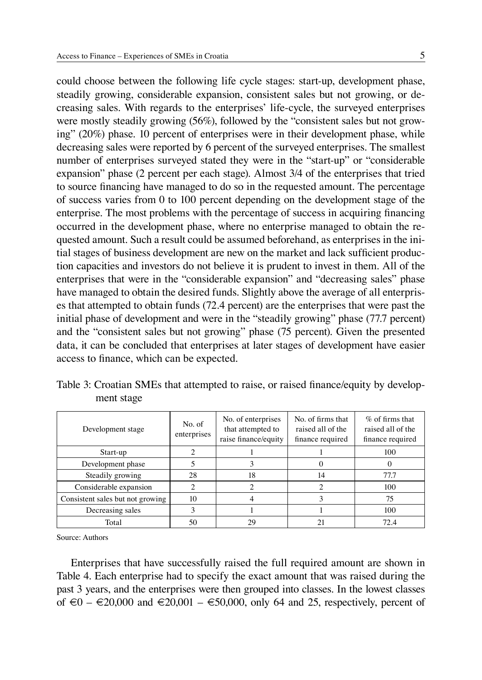could choose between the following life cycle stages: start-up, development phase, steadily growing, considerable expansion, consistent sales but not growing, or decreasing sales. With regards to the enterprises' life-cycle, the surveyed enterprises were mostly steadily growing (56%), followed by the "consistent sales but not growing" (20%) phase. 10 percent of enterprises were in their development phase, while decreasing sales were reported by 6 percent of the surveyed enterprises. The smallest number of enterprises surveyed stated they were in the "start-up" or "considerable expansion" phase (2 percent per each stage). Almost 3/4 of the enterprises that tried to source financing have managed to do so in the requested amount. The percentage of success varies from 0 to 100 percent depending on the development stage of the enterprise. The most problems with the percentage of success in acquiring financing occurred in the development phase, where no enterprise managed to obtain the requested amount. Such a result could be assumed beforehand, as enterprises in the initial stages of business development are new on the market and lack sufficient production capacities and investors do not believe it is prudent to invest in them. All of the enterprises that were in the "considerable expansion" and "decreasing sales" phase have managed to obtain the desired funds. Slightly above the average of all enterprises that attempted to obtain funds (72.4 percent) are the enterprises that were past the initial phase of development and were in the "steadily growing" phase (77.7 percent) and the "consistent sales but not growing" phase (75 percent). Given the presented data, it can be concluded that enterprises at later stages of development have easier access to finance, which can be expected.

|            | Table 3: Croatian SMEs that attempted to raise, or raised finance/equity by develop- |  |  |
|------------|--------------------------------------------------------------------------------------|--|--|
| ment stage |                                                                                      |  |  |

| Development stage                | No. of<br>enterprises | No. of enterprises<br>that attempted to<br>raise finance/equity | No. of firms that<br>raised all of the<br>finance required | $\%$ of firms that<br>raised all of the<br>finance required |
|----------------------------------|-----------------------|-----------------------------------------------------------------|------------------------------------------------------------|-------------------------------------------------------------|
| Start-up                         |                       |                                                                 |                                                            | 100                                                         |
| Development phase                |                       |                                                                 |                                                            |                                                             |
| Steadily growing                 | 28                    | 18                                                              | 14                                                         | 77.7                                                        |
| Considerable expansion           |                       |                                                                 |                                                            | 100                                                         |
| Consistent sales but not growing | 10                    |                                                                 |                                                            | 75                                                          |
| Decreasing sales                 |                       |                                                                 |                                                            | 100                                                         |
| Total                            | 50                    | 29                                                              |                                                            | 72.4                                                        |

Source: Authors

Enterprises that have successfully raised the full required amount are shown in Table 4. Each enterprise had to specify the exact amount that was raised during the past 3 years, and the enterprises were then grouped into classes. In the lowest classes of €0 – €20,000 and €20,001 – €50,000, only 64 and 25, respectively, percent of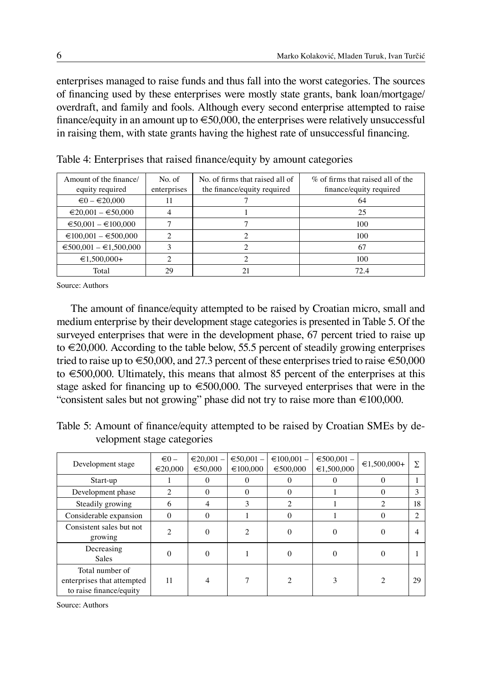enterprises managed to raise funds and thus fall into the worst categories. The sources of financing used by these enterprises were mostly state grants, bank loan/mortgage/ overdraft, and family and fools. Although every second enterprise attempted to raise finance/equity in an amount up to  $\epsilon$  50,000, the enterprises were relatively unsuccessful in raising them, with state grants having the highest rate of unsuccessful financing.

| Amount of the finance/<br>equity required | No. of<br>enterprises | No. of firms that raised all of<br>the finance/equity required | % of firms that raised all of the<br>finance/equity required |
|-------------------------------------------|-----------------------|----------------------------------------------------------------|--------------------------------------------------------------|
| $\epsilon$ 0 – $\epsilon$ 20.000          | 11                    |                                                                | 64                                                           |
| $\epsilon$ 20,001 – $\epsilon$ 50,000     |                       |                                                                | 25                                                           |
| $\epsilon$ 50,001 – $\epsilon$ 100,000    |                       |                                                                | 100                                                          |
| $\epsilon$ 100,001 – $\epsilon$ 500,000   |                       |                                                                | 100                                                          |
| $\epsilon$ 500,001 – $\epsilon$ 1,500,000 |                       |                                                                | 67                                                           |
| $€1.500.000+$                             |                       |                                                                | 100                                                          |
| Total                                     | 29                    | 21                                                             | 72.4                                                         |

Table 4: Enterprises that raised finance/equity by amount categories

Source: Authors

The amount of finance/equity attempted to be raised by Croatian micro, small and medium enterprise by their development stage categories is presented in Table 5. Of the surveyed enterprises that were in the development phase, 67 percent tried to raise up to  $\in 20,000$ . According to the table below, 55.5 percent of steadily growing enterprises tried to raise up to  $\epsilon$ 50,000, and 27.3 percent of these enterprises tried to raise  $\epsilon$ 50,000 to €500,000. Ultimately, this means that almost 85 percent of the enterprises at this stage asked for financing up to  $\epsilon$ 500,000. The surveyed enterprises that were in the "consistent sales but not growing" phase did not try to raise more than €100,000.

Table 5: Amount of finance/equity attempted to be raised by Croatian SMEs by development stage categories

| Development stage                                                        | $\epsilon$ 0 -<br>€20,000 | $\epsilon$ 20.001 –<br>€50,000 | $€50,001$ –<br>€100,000 | $\epsilon$ 100.001 -<br>€500,000 | $€500,001 -$<br>€1,500,000 | $€1,500,000+$  | $\Sigma$ |
|--------------------------------------------------------------------------|---------------------------|--------------------------------|-------------------------|----------------------------------|----------------------------|----------------|----------|
| Start-up                                                                 |                           | $\Omega$                       | $\Omega$                | $^{(1)}$                         | 0                          | $\Omega$       |          |
| Development phase                                                        | $\mathfrak{D}$            | $\Omega$                       | $\Omega$                | $\theta$                         |                            | $\Omega$       | 3        |
| Steadily growing                                                         | 6                         | $\overline{4}$                 | 3                       | $\overline{2}$                   |                            | 2              | 18       |
| Considerable expansion                                                   | $\Omega$                  | $\Omega$                       |                         | $\Omega$                         |                            | $\Omega$       | 2        |
| Consistent sales but not<br>growing                                      | $\mathfrak{D}$            | $\Omega$                       | $\mathfrak{D}$          | $\Omega$                         | $\Omega$                   | $\Omega$       | 4        |
| Decreasing<br><b>Sales</b>                                               | $\theta$                  | $\Omega$                       |                         | 0                                | $\Omega$                   | $\bf{0}$       |          |
| Total number of<br>enterprises that attempted<br>to raise finance/equity | 11                        | $\overline{4}$                 |                         | $\mathfrak{D}$                   | 3                          | $\overline{c}$ | 29       |

Source: Authors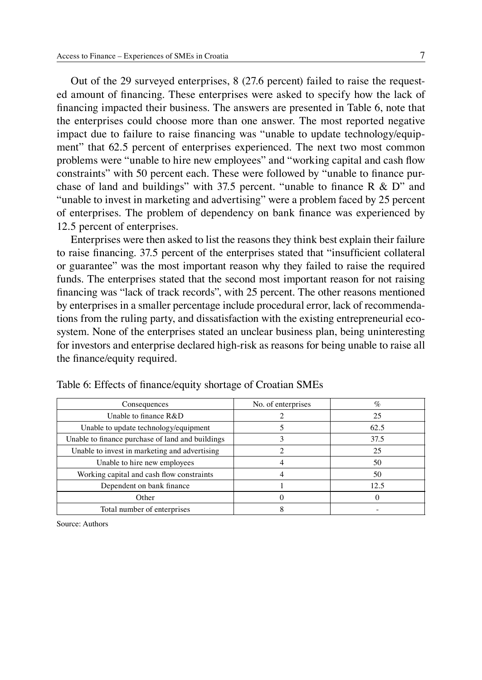Out of the 29 surveyed enterprises, 8 (27.6 percent) failed to raise the requested amount of financing. These enterprises were asked to specify how the lack of financing impacted their business. The answers are presented in Table 6, note that the enterprises could choose more than one answer. The most reported negative impact due to failure to raise financing was "unable to update technology/equipment" that 62.5 percent of enterprises experienced. The next two most common problems were "unable to hire new employees" and "working capital and cash flow constraints" with 50 percent each. These were followed by "unable to finance purchase of land and buildings" with 37.5 percent. "unable to finance  $R \& D$ " and "unable to invest in marketing and advertising" were a problem faced by 25 percent of enterprises. The problem of dependency on bank finance was experienced by 12.5 percent of enterprises.

Enterprises were then asked to list the reasons they think best explain their failure to raise financing. 37.5 percent of the enterprises stated that "insufficient collateral or guarantee" was the most important reason why they failed to raise the required funds. The enterprises stated that the second most important reason for not raising financing was "lack of track records", with 25 percent. The other reasons mentioned by enterprises in a smaller percentage include procedural error, lack of recommendations from the ruling party, and dissatisfaction with the existing entrepreneurial ecosystem. None of the enterprises stated an unclear business plan, being uninteresting for investors and enterprise declared high-risk as reasons for being unable to raise all the finance/equity required.

| Consequences                                     | No. of enterprises | $\%$ |
|--------------------------------------------------|--------------------|------|
| Unable to finance R&D                            |                    | 25   |
| Unable to update technology/equipment            |                    | 62.5 |
| Unable to finance purchase of land and buildings |                    | 37.5 |
| Unable to invest in marketing and advertising    |                    | 25   |
| Unable to hire new employees                     |                    | 50   |
| Working capital and cash flow constraints        |                    | 50   |
| Dependent on bank finance                        |                    | 12.5 |
| Other                                            |                    |      |
| Total number of enterprises                      |                    |      |

Table 6: Effects of finance/equity shortage of Croatian SMEs

Source: Authors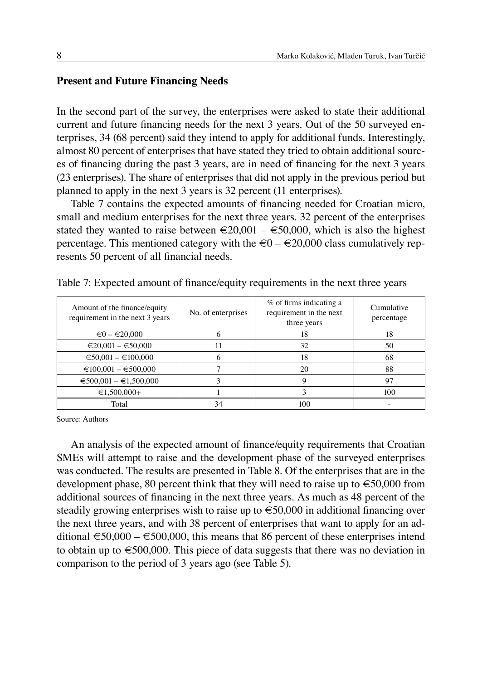## **Present and Future Financing Needs**

In the second part of the survey, the enterprises were asked to state their additional current and future financing needs for the next 3 years. Out of the 50 surveyed enterprises, 34 (68 percent) said they intend to apply for additional funds. Interestingly, almost 80 percent of enterprises that have stated they tried to obtain additional sources of financing during the past 3 years, are in need of financing for the next 3 years (23 enterprises). The share of enterprises that did not apply in the previous period but planned to apply in the next 3 years is 32 percent (11 enterprises).

Table 7 contains the expected amounts of financing needed for Croatian micro, small and medium enterprises for the next three years. 32 percent of the enterprises stated they wanted to raise between  $\epsilon$ 20,001 –  $\epsilon$ 50,000, which is also the highest percentage. This mentioned category with the  $\epsilon 0 - \epsilon 20,000$  class cumulatively represents 50 percent of all financial needs.

| Amount of the finance/equity<br>requirement in the next 3 years | No. of enterprises | % of firms indicating a<br>requirement in the next<br>three years | Cumulative<br>percentage |
|-----------------------------------------------------------------|--------------------|-------------------------------------------------------------------|--------------------------|
| $\epsilon$ 0 – $\epsilon$ 20,000                                | <sub>t</sub>       | 18                                                                | 18                       |
| $\epsilon$ 20,001 – $\epsilon$ 50,000                           |                    | 32                                                                | 50                       |
| $\epsilon$ 50,001 - $\epsilon$ 100,000                          |                    | 18                                                                | 68                       |
| $\epsilon$ 100,001 – $\epsilon$ 500,000                         |                    | 20                                                                | 88                       |
| $\epsilon$ 500,001 – $\epsilon$ 1,500,000                       |                    | 9                                                                 | 97                       |
| $€1,500,000+$                                                   |                    |                                                                   | 100                      |
| Total                                                           | 34                 | 100                                                               |                          |

Table 7: Expected amount of finance/equity requirements in the next three years

Source: Authors

An analysis of the expected amount of finance/equity requirements that Croatian SMEs will attempt to raise and the development phase of the surveyed enterprises was conducted. The results are presented in Table 8. Of the enterprises that are in the development phase, 80 percent think that they will need to raise up to  $\epsilon$ 50,000 from additional sources of financing in the next three years. As much as 48 percent of the steadily growing enterprises wish to raise up to €50,000 in additional financing over the next three years, and with 38 percent of enterprises that want to apply for an additional  $\epsilon$  50,000 –  $\epsilon$  500,000, this means that 86 percent of these enterprises intend to obtain up to €500,000. This piece of data suggests that there was no deviation in comparison to the period of 3 years ago (see Table 5).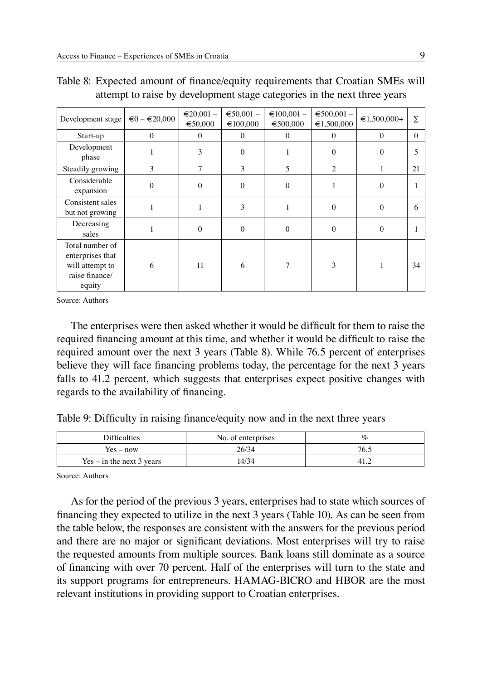| Development stage                                                                  | $\epsilon$ 0 – $\epsilon$ 20,000 | $\epsilon$ 20,001 –<br>€50,000 | $€50,001 -$<br>€100,000 | $\epsilon$ 100,001 -<br>€500,000 | $€500,001 -$<br>€1,500,000 | $€1,500,000+$ | Σ        |
|------------------------------------------------------------------------------------|----------------------------------|--------------------------------|-------------------------|----------------------------------|----------------------------|---------------|----------|
| Start-up                                                                           | $\Omega$                         | $\Omega$                       | $\theta$                | $\theta$                         | $\theta$                   | $\Omega$      | $\Omega$ |
| Development<br>phase                                                               |                                  | 3                              | $\Omega$                |                                  | $\Omega$                   | $\Omega$      |          |
| Steadily growing                                                                   | 3                                | $\overline{7}$                 | 3                       | $\overline{\phantom{0}}$         | $\overline{2}$             |               | 21       |
| Considerable<br>expansion                                                          | $\Omega$                         | $\theta$                       | $\Omega$                | $\Omega$                         | 1                          | $\Omega$      |          |
| Consistent sales<br>but not growing                                                |                                  |                                | 3                       |                                  | $\Omega$                   | $\Omega$      | 6        |
| Decreasing<br>sales                                                                |                                  | $\theta$                       | $\Omega$                | $\Omega$                         | $\mathbf{0}$               | $\mathbf{0}$  |          |
| Total number of<br>enterprises that<br>will attempt to<br>raise finance/<br>equity | 6                                | 11                             | 6                       | 7                                | 3                          |               | 34       |

|  |  | Table 8: Expected amount of finance/equity requirements that Croatian SMEs will |  |  |
|--|--|---------------------------------------------------------------------------------|--|--|
|  |  | attempt to raise by development stage categories in the next three years        |  |  |

Source: Authors

The enterprises were then asked whether it would be difficult for them to raise the required financing amount at this time, and whether it would be difficult to raise the required amount over the next 3 years (Table 8). While 76.5 percent of enterprises believe they will face financing problems today, the percentage for the next 3 years falls to 41.2 percent, which suggests that enterprises expect positive changes with regards to the availability of financing.

Table 9: Difficulty in raising finance/equity now and in the next three years

| Difficulties                | No. of enterprises | $\mathcal{C}_{\mathcal{C}}$ |
|-----------------------------|--------------------|-----------------------------|
| $Yes - now$                 | 26/34              | 76.5                        |
| $Yes - in the next 3 years$ | 14/34              | $-41.4$                     |

Source: Authors

As for the period of the previous 3 years, enterprises had to state which sources of financing they expected to utilize in the next 3 years (Table 10). As can be seen from the table below, the responses are consistent with the answers for the previous period and there are no major or significant deviations. Most enterprises will try to raise the requested amounts from multiple sources. Bank loans still dominate as a source of financing with over 70 percent. Half of the enterprises will turn to the state and its support programs for entrepreneurs. HAMAG-BICRO and HBOR are the most relevant institutions in providing support to Croatian enterprises.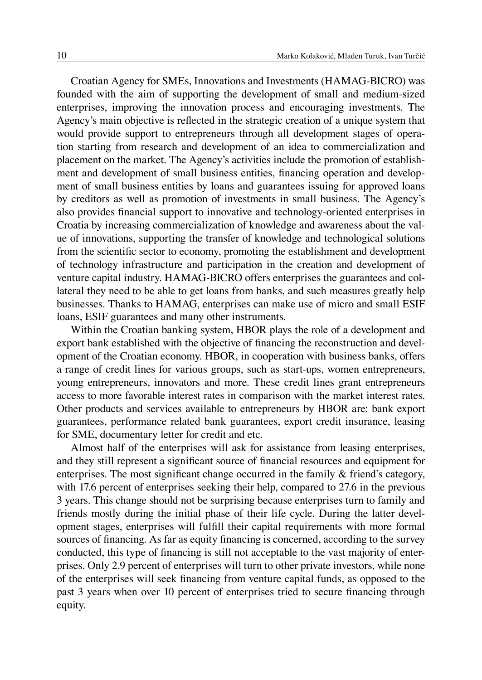Croatian Agency for SMEs, Innovations and Investments (HAMAG-BICRO) was founded with the aim of supporting the development of small and medium-sized enterprises, improving the innovation process and encouraging investments. The Agency's main objective is reflected in the strategic creation of a unique system that would provide support to entrepreneurs through all development stages of operation starting from research and development of an idea to commercialization and placement on the market. The Agency's activities include the promotion of establishment and development of small business entities, financing operation and development of small business entities by loans and guarantees issuing for approved loans by creditors as well as promotion of investments in small business. The Agency's also provides financial support to innovative and technology-oriented enterprises in Croatia by increasing commercialization of knowledge and awareness about the value of innovations, supporting the transfer of knowledge and technological solutions from the scientific sector to economy, promoting the establishment and development of technology infrastructure and participation in the creation and development of venture capital industry. HAMAG-BICRO offers enterprises the guarantees and collateral they need to be able to get loans from banks, and such measures greatly help businesses. Thanks to HAMAG, enterprises can make use of micro and small ESIF loans, ESIF guarantees and many other instruments.

Within the Croatian banking system, HBOR plays the role of a development and export bank established with the objective of financing the reconstruction and development of the Croatian economy. HBOR, in cooperation with business banks, offers a range of credit lines for various groups, such as start-ups, women entrepreneurs, young entrepreneurs, innovators and more. These credit lines grant entrepreneurs access to more favorable interest rates in comparison with the market interest rates. Other products and services available to entrepreneurs by HBOR are: bank export guarantees, performance related bank guarantees, export credit insurance, leasing for SME, documentary letter for credit and etc.

Almost half of the enterprises will ask for assistance from leasing enterprises, and they still represent a significant source of financial resources and equipment for enterprises. The most significant change occurred in the family & friend's category, with 17.6 percent of enterprises seeking their help, compared to 27.6 in the previous 3 years. This change should not be surprising because enterprises turn to family and friends mostly during the initial phase of their life cycle. During the latter development stages, enterprises will fulfill their capital requirements with more formal sources of financing. As far as equity financing is concerned, according to the survey conducted, this type of financing is still not acceptable to the vast majority of enterprises. Only 2.9 percent of enterprises will turn to other private investors, while none of the enterprises will seek financing from venture capital funds, as opposed to the past 3 years when over 10 percent of enterprises tried to secure financing through equity.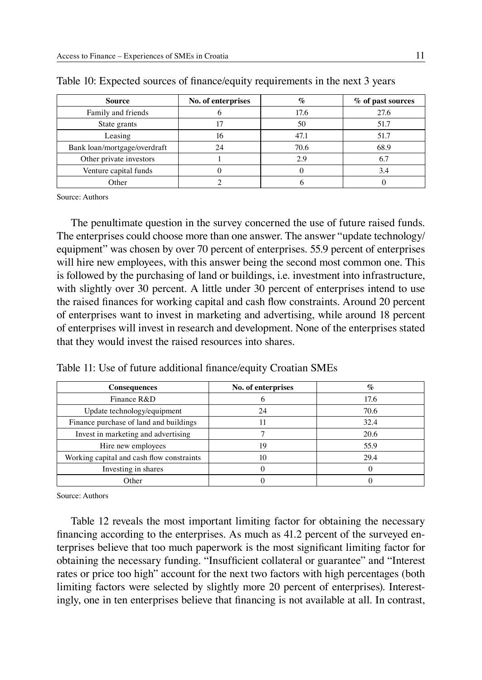| <b>Source</b>                | No. of enterprises | $\%$ | % of past sources |
|------------------------------|--------------------|------|-------------------|
| Family and friends           |                    | 17.6 | 27.6              |
| State grants                 |                    | 50   | 51.7              |
| Leasing                      | 16                 | 47.1 | 51.7              |
| Bank loan/mortgage/overdraft | 24                 | 70.6 | 68.9              |
| Other private investors      |                    | 2.9  | 6.7               |
| Venture capital funds        |                    |      | 3.4               |
| Other                        |                    |      |                   |

Table 10: Expected sources of finance/equity requirements in the next 3 years

Source: Authors

The penultimate question in the survey concerned the use of future raised funds. The enterprises could choose more than one answer. The answer "update technology/ equipment" was chosen by over 70 percent of enterprises. 55.9 percent of enterprises will hire new employees, with this answer being the second most common one. This is followed by the purchasing of land or buildings, i.e. investment into infrastructure, with slightly over 30 percent. A little under 30 percent of enterprises intend to use the raised finances for working capital and cash flow constraints. Around 20 percent of enterprises want to invest in marketing and advertising, while around 18 percent of enterprises will invest in research and development. None of the enterprises stated that they would invest the raised resources into shares.

| <b>Consequences</b>                       | No. of enterprises | $\%$ |
|-------------------------------------------|--------------------|------|
| Finance R&D                               |                    | 17.6 |
| Update technology/equipment               | 24                 | 70.6 |
| Finance purchase of land and buildings    | п                  | 32.4 |
| Invest in marketing and advertising       |                    | 20.6 |
| Hire new employees                        | 19                 | 55.9 |
| Working capital and cash flow constraints | 10                 | 29.4 |
| Investing in shares                       |                    |      |
| Other                                     |                    |      |

Table 11: Use of future additional finance/equity Croatian SMEs

Source: Authors

Table 12 reveals the most important limiting factor for obtaining the necessary financing according to the enterprises. As much as 41.2 percent of the surveyed enterprises believe that too much paperwork is the most significant limiting factor for obtaining the necessary funding. "Insufficient collateral or guarantee" and "Interest rates or price too high" account for the next two factors with high percentages (both limiting factors were selected by slightly more 20 percent of enterprises). Interestingly, one in ten enterprises believe that financing is not available at all. In contrast,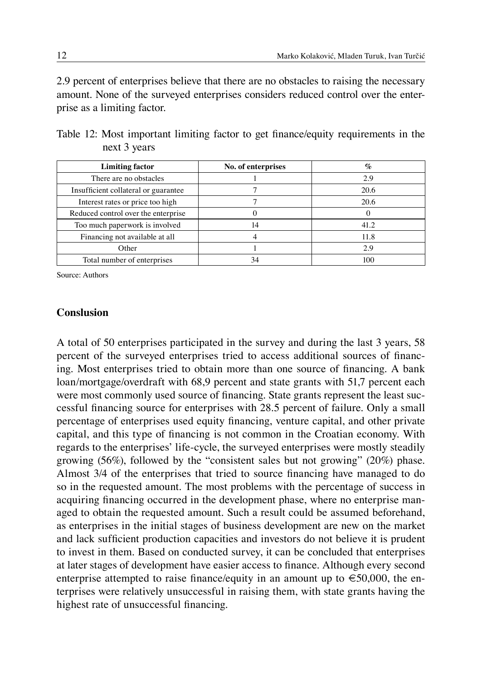2.9 percent of enterprises believe that there are no obstacles to raising the necessary amount. None of the surveyed enterprises considers reduced control over the enterprise as a limiting factor.

| <b>Limiting factor</b>               | No. of enterprises | $\mathcal{O}'_0$ |
|--------------------------------------|--------------------|------------------|
| There are no obstacles               |                    | 2.9              |
| Insufficient collateral or guarantee |                    | 20.6             |
| Interest rates or price too high     |                    | 20.6             |
| Reduced control over the enterprise  |                    |                  |
| Too much paperwork is involved       | 14                 | 41.2             |
| Financing not available at all       |                    | 11.8             |
| Other                                |                    | 29               |
| Total number of enterprises          | 34                 |                  |

Table 12: Most important limiting factor to get finance/equity requirements in the next 3 years

Source: Authors

### **Conslusion**

A total of 50 enterprises participated in the survey and during the last 3 years, 58 percent of the surveyed enterprises tried to access additional sources of financing. Most enterprises tried to obtain more than one source of financing. A bank loan/mortgage/overdraft with 68,9 percent and state grants with 51,7 percent each were most commonly used source of financing. State grants represent the least successful financing source for enterprises with 28.5 percent of failure. Only a small percentage of enterprises used equity financing, venture capital, and other private capital, and this type of financing is not common in the Croatian economy. With regards to the enterprises' life-cycle, the surveyed enterprises were mostly steadily growing (56%), followed by the "consistent sales but not growing" (20%) phase. Almost 3/4 of the enterprises that tried to source financing have managed to do so in the requested amount. The most problems with the percentage of success in acquiring financing occurred in the development phase, where no enterprise managed to obtain the requested amount. Such a result could be assumed beforehand, as enterprises in the initial stages of business development are new on the market and lack sufficient production capacities and investors do not believe it is prudent to invest in them. Based on conducted survey, it can be concluded that enterprises at later stages of development have easier access to finance. Although every second enterprise attempted to raise finance/equity in an amount up to  $\epsilon$ 50,000, the enterprises were relatively unsuccessful in raising them, with state grants having the highest rate of unsuccessful financing.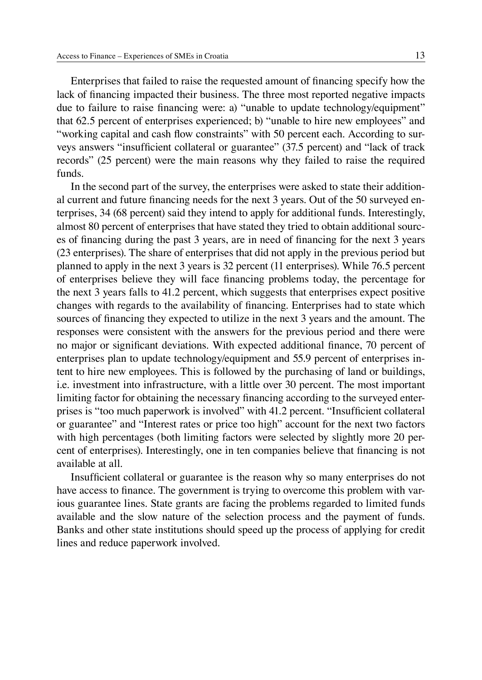Enterprises that failed to raise the requested amount of financing specify how the lack of financing impacted their business. The three most reported negative impacts due to failure to raise financing were: a) "unable to update technology/equipment" that 62.5 percent of enterprises experienced; b) "unable to hire new employees" and "working capital and cash flow constraints" with 50 percent each. According to surveys answers "insufficient collateral or guarantee" (37.5 percent) and "lack of track records" (25 percent) were the main reasons why they failed to raise the required funds.

In the second part of the survey, the enterprises were asked to state their additional current and future financing needs for the next 3 years. Out of the 50 surveyed enterprises, 34 (68 percent) said they intend to apply for additional funds. Interestingly, almost 80 percent of enterprises that have stated they tried to obtain additional sources of financing during the past 3 years, are in need of financing for the next 3 years (23 enterprises). The share of enterprises that did not apply in the previous period but planned to apply in the next 3 years is 32 percent (11 enterprises). While 76.5 percent of enterprises believe they will face financing problems today, the percentage for the next 3 years falls to 41.2 percent, which suggests that enterprises expect positive changes with regards to the availability of financing. Enterprises had to state which sources of financing they expected to utilize in the next 3 years and the amount. The responses were consistent with the answers for the previous period and there were no major or significant deviations. With expected additional finance, 70 percent of enterprises plan to update technology/equipment and 55.9 percent of enterprises intent to hire new employees. This is followed by the purchasing of land or buildings, i.e. investment into infrastructure, with a little over 30 percent. The most important limiting factor for obtaining the necessary financing according to the surveyed enterprises is "too much paperwork is involved" with 41.2 percent. "Insufficient collateral or guarantee" and "Interest rates or price too high" account for the next two factors with high percentages (both limiting factors were selected by slightly more 20 percent of enterprises). Interestingly, one in ten companies believe that financing is not available at all.

Insufficient collateral or guarantee is the reason why so many enterprises do not have access to finance. The government is trying to overcome this problem with various guarantee lines. State grants are facing the problems regarded to limited funds available and the slow nature of the selection process and the payment of funds. Banks and other state institutions should speed up the process of applying for credit lines and reduce paperwork involved.